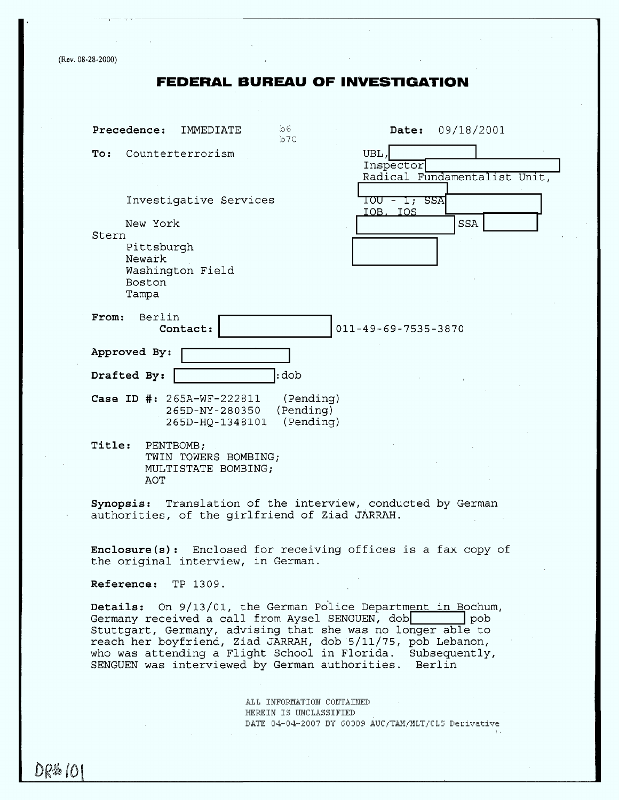(Rev. 08-28-2000)

# **FEDERAL BUREAU OF** INVESTIGATION

| b6.<br>Precedence:<br>Date: 09/18/2001<br>IMMEDIATE<br>b7c                                                                                                                                                                                           |  |  |
|------------------------------------------------------------------------------------------------------------------------------------------------------------------------------------------------------------------------------------------------------|--|--|
| UBL,<br>To:<br>Counterterrorism<br>Inspector<br>Radical Fundamentalist Unit,                                                                                                                                                                         |  |  |
| 10U - 1; SSA<br>Investigative Services<br><u>IOB, IOS</u><br><b>SSA</b><br>New York                                                                                                                                                                  |  |  |
| Stern<br>Pittsburgh<br>Newark<br>Washington Field<br><b>Boston</b><br>Tampa                                                                                                                                                                          |  |  |
| Berlin<br>From:<br>$011 - 49 - 69 - 7535 - 3870$<br>Contact:                                                                                                                                                                                         |  |  |
| Approved By:                                                                                                                                                                                                                                         |  |  |
| $:$ dob<br>Drafted By:                                                                                                                                                                                                                               |  |  |
| (Pending)<br>Case ID #: 265A-WF-222811<br>(Pending)<br>265D-NY-280350<br>(Pending)<br>265D-HQ-1348101                                                                                                                                                |  |  |
| Title:<br>PENTBOMB;<br>TWIN TOWERS BOMBING;<br>MULTISTATE BOMBING;<br>AOT                                                                                                                                                                            |  |  |
| Synopsis: Translation of the interview, conducted by German<br>authorities, of the girlfriend of Ziad JARRAH.                                                                                                                                        |  |  |
| Enclosure(s): Enclosed for receiving offices is a fax copy of<br>the original interview, in German.                                                                                                                                                  |  |  |
| Reference: TP 1309.                                                                                                                                                                                                                                  |  |  |
| Details: On 9/13/01, the German Police Department in Bochum,<br>Germany received a call from Aysel SENGUEN, dob<br>pob<br>Stuttgart, Germany, advising that she was no longer able to<br>reach her boyfriend, Ziad JARRAH, dob 5/11/75, pob Lebanon, |  |  |

who was attending a Flight School in Florida. Subse SENGUEN was interviewed by German authorities. Berl

> ALL INFORMATION CONTAINED HEREIN IS UNCLASSIFIED DATE 04-04-2007 BY 60309 AUC/TAM/MLT/CLS Derivative

DR#101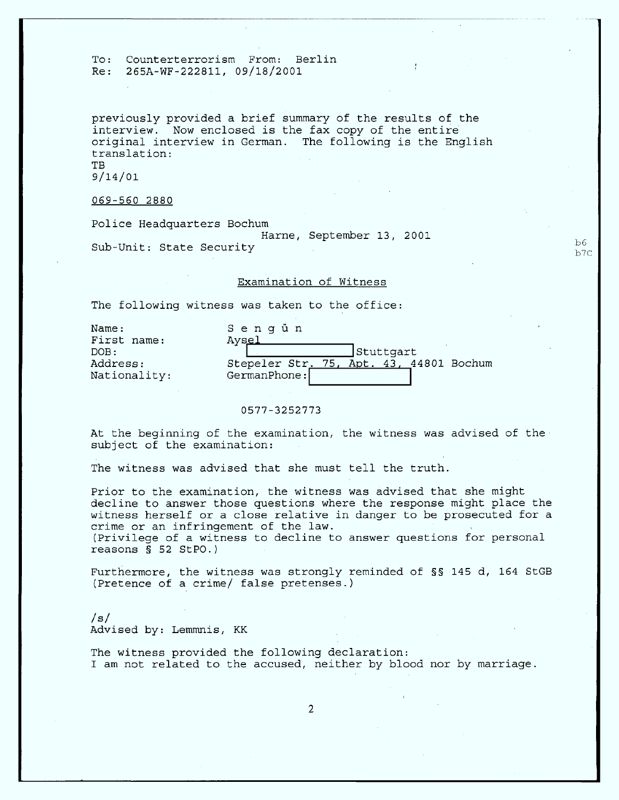previously provided a brief summary of the results of the interview. Now enclosed is the fax copy of the entire original interview in German. The following is the English translation: TB 9/14/Ol

069-560 2880

Police Headquarters Bochum Harne, September 13, 2001 **.** Sub-Unit: State Security  $_{b7}^{\text{56}}$ 

### Examination of Witness

The following witness was taken to the office:

| Name:<br>First name:     | Senqün<br>Aysel |                                         |
|--------------------------|-----------------|-----------------------------------------|
| DOB:                     |                 | Stuttgart[                              |
| Address:<br>Nationality: | GermanPhone:    | Stepeler Str. 75, Apt. 43, 44801 Bochum |

#### 0577-3252773

At the beginning of the examination, the witness was advised of the subject of the examination: **»**

The witness was advised that she must tell the truth.

Prior to the examination, the witness was advised that she might decline to answer those questions where the response might place the witness herself or a close relative in danger to be prosecuted for a crime or an infringement of the law. Privilege of a witness to decline to answer questions for personal reasons § 52 StPO.)

Furthermore, the witness was strongly reminded of §§ 145 d, 164 StGB (Pretence of a crime/ false pretenses.)

/s/ Advised by: Lemmnis, KK

The witness provided the following declaration: I am not related to the accused, neither by blood nor by marriage.

2

1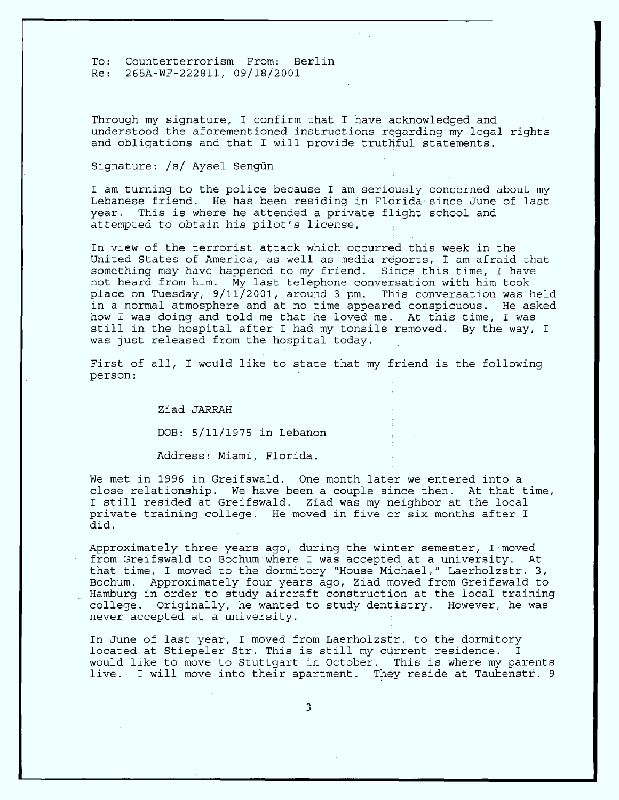Through my signature, I confirm that I have acknowledged and understood the aforementioned instructions regarding my legal rights and obligations and that I will provide truthful statements.

## Signature: /s/ Aysel Sengun

I am turning to the police because I am seriously concerned about my Lebanese friend. He has been residing in Florida since June of last year. This is where he attended a private flight school and attempted to obtain his pilot's license,

In view of the terrorist attack which occurred this week in the United States of America, as well as media reports, I am afraid **that** something may have happened to my friend. Since this time, I have not heard from him. My **last** telephone conversation with him took place on Tuesday, 9/11/2001, around 3 pm. This conversation was held in **a** normal atmosphere and **at** no time appeared conspicuous. He asked how I was doing and told me **that** he loved me. At this time, I was still in the hospital after I had my tonsils removed. By the way, I was just released from the hospital today.

First of all, I would like to state that my friend is the following person: ' y **.**

Ziad JARRAH

DOB: 5/ll/1975 in Lebanon

Address: Miami, Florida.

We met in 1996 **in** Greifswald. One month later we entered into a close relationship. We have been a couple since then. At **that** time, I **still** resided **at** Greifswald. Ziad was my neighbor **at** the local private training college. He moved in five or six months after I did.

Approximately three years ago, during the winter semester, I moved from Greifswald to Bochum where I was accepted at a university. At\_ that time, I moved to the dormitory "House Michael," Laerholzstr. 3, Bochum. Approximately four years ago, Ziad moved from Greifswald to Hamburg in order to study aircraft construction **at** the local training college. Originally, he wanted to study dentistry. However, he was never accepted **at a** university.

In June of **last** year, I moved from Laerholzstr. to the dormitory located at Stiepeler Str. This is still my current residence. would like to move to Stuttgart in October. This is where my parents live. I will move into their apartment. They reside **at** Taubenstr. 9

3

- 3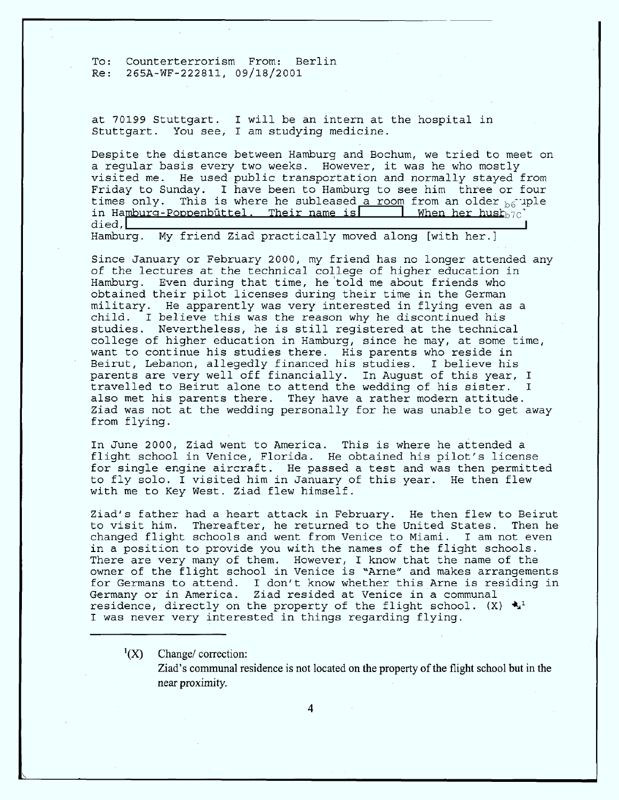at 70199 Stuttgart. I will be an intern at the hospital in Stuttgart. You see, **I am** studying medicine.

Despite the distance between Hamburg and Bochum, we tried to meet on **a** regular basis every two weeks. However, it was he who mostly visited me. He used public transportation and normally stayed from Friday to Sunday. **I** have been to Hamburg to see him three or four times only. This is where he subleased <u>a room</u> from an older <sub>b6</sub> uple<br>in Hamburg-Poppenbüttel. Their name is<br>died. died , **I**

Hamburg. My friend Ziad practically moved along [with her.]

Since January or February 2000, my friend has no longer attended any of the lectures at the technical college of higher education in Hamburg. Even during that time, he told me about friends who obtained their pilot licenses during their time in the German military. He apparently was very interested in flying even as **a** child. I believe this was the reason why he discontinued his<br>studies. Nevertheless, he is still registered at the technical studies. Nevertheless, he is strip registered de the education in the reasonable may, at want to continue his studies there. His parents who reside in Beirut, Lebanon, allegedly financed his studies. I believe his parents are very well off financially. In August of this year, I travelled to Beirut alone to attend the wedding of his sister.  $\mathbf I$ also met his parents there. They have a rather modern attitude. trad was not at the wedding personally for he was unable to get a also met his parents there. They have **a** rather modern attitude. Ziad was not **at** the wedding personally for he was unable to get

In June 2000, Ziad went to America. This is where he attended a flight school in Venice, Florida. He obtained his pilot's license<br>for single engine aircraft. He passed a test and was then permitted to fly solo. I visited him in January of this year. He then flew with me to Key West. Ziad flew himself.  $t = \frac{1}{2}$  visited him in January of this year. He this year. He this year. He this year. He this year. He then flew  $\alpha$ 

Ziad's father had a heart attack in February. He then flew to Beirut to visit him. Thereafter, he returned to the United States. Then he<br>changed flight schools and went from Venice to Miami. I am not even Then he in a position to provide you with the names of the flight schools. There are very many of them. However, I know that the name of the owner of the flight school in Venice is "Arne" and makes arrangements for Germans to attend. I don't know whether this Arne is residing in Germany or in America. Ziad resided at Venice in a communal residence, directly on the property of the flight school.  $(X) \triangleleft x^1$ I was never very interested in things regarding flying. residence, directly on the property of the flight school.  $\mathcal{L}_{\mathbf{y}}$  is if  $\mathcal{L}_{\mathbf{y}}$  if  $\mathcal{L}_{\mathbf{y}}$  if  $\mathcal{L}_{\mathbf{y}}$  if  $\mathcal{L}_{\mathbf{y}}$  if  $\mathcal{L}_{\mathbf{y}}$  if  $\mathcal{L}_{\mathbf{y}}$  if  $\mathcal{L}_{\mathbf{y}}$  if  $\mathcal{L}_{\mathbf{y}}$  i

 $\binom{1}{X}$ Change/correction:

> Ziad's communal residence is not located on the property of the flight school but in the near proximity.

> > $\boldsymbol{\Lambda}$

**I** was never very interested in the contract of the contract of the contract of the contract of the contract of the contract of the contract of the contract of the contract of the contract of the contract of the contract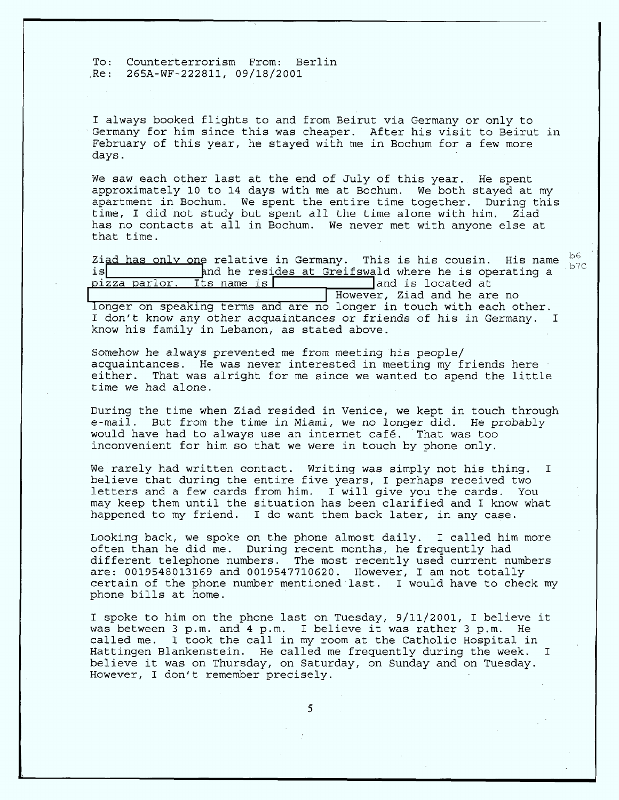I always booked flights to and from Beirut via Germany or only to Germany for him since this was cheaper. After his visit to Beirut in February of this year, he stayed with me in Bochum for **a** few more **days.**

We saw each other last at the end of July of this year. He spent approximately 10 to 14 days with me **at** Bochum. We both stayed at my apartment in Bochum. We spent the entire time together. During this time, I did not study but spent all the time alone with him. Ziad has no contacts at all in Bochum. We never met with anyone else **at** that time. **\_**

Ziad has only one relative in Germany. This is his cousin. His name  $\frac{b6}{b7}$ c is is **Fig.** Find he resides at Greifswald where he is operating a pizza parlor. Its name is **Fig. 2.1.** Thand is located at and is located at<br>Indianal However, Ziad and he are no longer on speaking terms and are no longer in touch with each other. I don't know any other acquaintances or friends of his in Germany. **I**

know his family in Lebanon, as stated above.

Somehow he always prevented me from meeting his people/ acquaintances. He was never interested in meeting my friends here either. That was alright for **me** since we wanted to spend the little time we had alone.

During the time when Ziad resided in Venice, we kept in touch through e-mail. But from the time in Miami, we no longer did. He probably would have had to always use **an** internet **café.** That was too inconvenient for him so that we were in touch by phone only.

We rarely had written contact. Writing was simply not his thing.  $\mathbf I$ believe that during the entire five years, I perhaps received two letters **and** a few **cards from** him. I will give you the cards. You may keep them until the situation has been clarified and **I** know what happened to my friend. I do want them back later, in any **case.**

Looking back, we spoke on the phone almost daily. I called him more often than he did me. During recent months, he frequently had different telephone numbers. The most recently used current number **are:** 0019548013169 and 0019547710620. However, I **am** not totally certain of the phone number mentioned last. **I** would have to check my phone bills **at** home.

I spoke to him on the phone last on Tuesday, 9/11/2001, I believe it was between 3 p.m. and 4 p.m. I believe it was rather 3 p.m. He called me. **I** took the call in my room **at** the Catholic Hospital in Hattingen Blankenstein. He called me frequently during the week.  $\mathbf{I}$ believe it was on Thursday, on Saturday, on Sunday **and** on Tuesday. However, I don't remember precisely.

5

 $\overline{\phantom{a}}$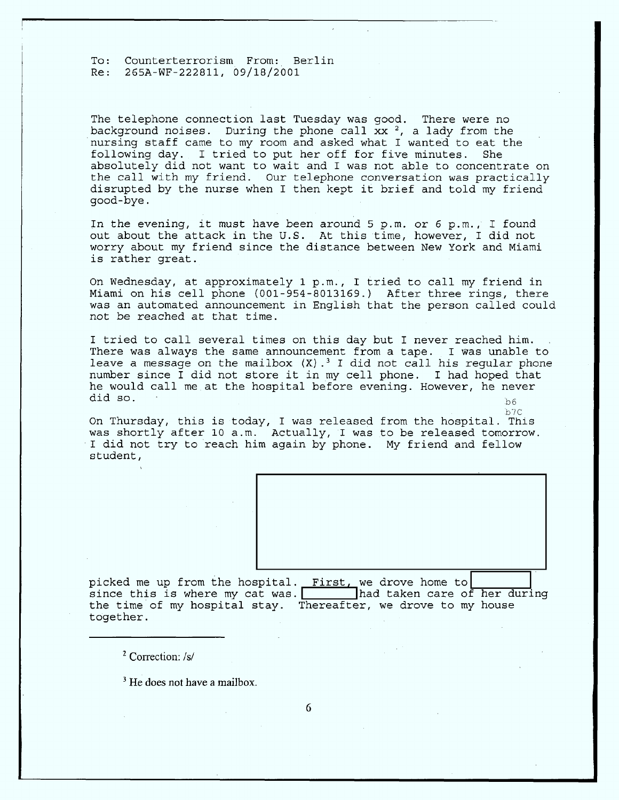The telephone connection last Tuesday was good. There were no background noises. During the phone call  $xx^2$ , a lady from the nursing staff came to my room and asked what I wanted to eat the following day. I tried to put her off for five minutes. She absolutely did not want to wait and I was not able to concentrate on the call with my friend. Our telephone conversation was practically disrupted by the nurse when I then kept it brief and told my friend qood-bye.

In the evening, it must have been around 5 p.m. or 6 p.m., I found out about the attack in the U.S. At this time, however, I did not worry about my friend since the distance between New York and Miami is rather great.

On Wednesday, at approximately 1 p.m., I tried to call my friend in Miami on his cell phone (001-954-8013169.) After three rings, there was an automated announcement in English that the person called could not be reached at that time.

I tried to call several times on this day but I never reached him. . There was always the same announcement from a tape. I was unable to leave a message on the mailbox  $(X)$ .<sup>3</sup> I did not call his regular phone number since I did not store it in my cell phone. I had hoped that he would call me at the hospital before evening. However, he never did so. ักค

On Thursday, this is today, I was released from the hospital. This was shortly after 10 a.m. Actually, I was to be released tomorrow. I did not try to reach him again by phone. My friend and fellow student,

 $b7C$ 

picked me up from the hospital. First, we drove home to  $\begin{bmatrix} \frac{1}{1} \\ \frac{1}{1} \\ \frac{1}{1} \\ \frac{1}{1} \\ \frac{1}{1} \\ \frac{1}{1} \\ \frac{1}{1} \\ \frac{1}{1} \\ \frac{1}{1} \\ \frac{1}{1} \\ \frac{1}{1} \\ \frac{1}{1} \\ \frac{1}{1} \\ \frac{1}{1} \\ \frac{1}{1} \\ \frac{1}{1} \\ \frac{1}{1} \\ \frac{1}{1} \\ \frac{1}{1} \\ \frac{1}{1}$ the time of my hospital stay. Thereafter, we drove to my house together.

2 Correction: /s/

92

 $\rm{^3}$  He does not have a ma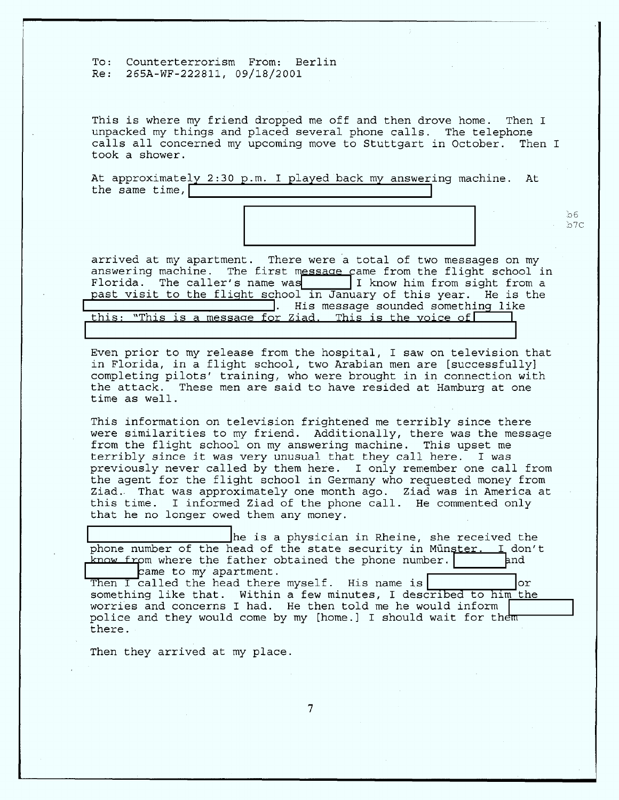This is where **my** friend dropped me off and then drove home. Then I unpacked my things and placed several phone calls. The telephone calls all concerned my upcoming move to Stuttgart in October. Then I took a shower.

> b6<br>b7C  $\frac{b}{c}$

At approximately 2:30 p.m. I played back my answering machine. At the same time,

Ti bilin alan kacamatan ing Kabupatèn Bandaran Kabupatèn Bandaran Ing Kabupatèn Bandaran Kabupatèn Bandaran Ka

arrived at my apartment. There were a total of two messages on my answering machine. The first message came from the flight school in Florida. The caller's name was  $\begin{array}{|l|} \hline \end{array}$  I know him from sight from a past visit to the flight school in January of this year. The is the past visit to the flight school in January of this year. The is the **rate is the flux of the flux is constructed**. His message sounded something like<br>this: "This is a message for Ziad. This is the voice of **the island of the island of the i . His message sounded the state of the voice of This is a message for Ziad, This is the voice of I** 

Even prior to my release from the hospital, I saw on television that in Florida, in a flight school, two Arabian men are [successfully]<br>completing pilots' training, who were brought in in connection with  $\frac{1}{\sqrt{2}}$  florida, in a fluxe school and the successfully  $\frac{1}{\sqrt{2}}$  florida,  $\frac{1}{\sqrt{2}}$  florida,  $\frac{1}{\sqrt{2}}$ completing picture that the bara of have restaca at hamburg at .<br>Fime so well the attack. These men are said to have resided **at** Hamburg at one

This information on television frightened me terribly since there were similarities to my friend. Additionally, there was the message from the flight school on my answering machine. This upset me terribly since it was very unusual that they call here. I was previously never called by them here. I only remember one call from the agent for the flight school in Germany who requested money from Ziad. That was approximately one month ago. Ziad was in America at  $t_{\rm max}$  and  $\sigma_{\rm max}$  and  $\sigma_{\rm max}$  in Germany who requested money in  $\sigma_{\rm max}$  and  $\sigma_{\rm max}$  requested money from  $\sigma_{\rm max}$ zia That was a through that we have the commented only that he no longer owed them any money.

he is a physician in Rheine, she received the phone number of the head of the state security in Münster. I don't<br>know from where the father obtained the phone number.

came to my apartment.<br>Then I called the head there myself. His name is<br>something like that. Within a few minutes, I described to him the<br>worries and concerns I had. He then told me he would inform police and they would come by my [home.] I should wait for the<del>m</del><br>there.  $p_{\text{inter}}$  and they would come by  $\mathcal{L}_{\text{inter}}$  is however.

Then they arrived at my place.

 $\overline{7}$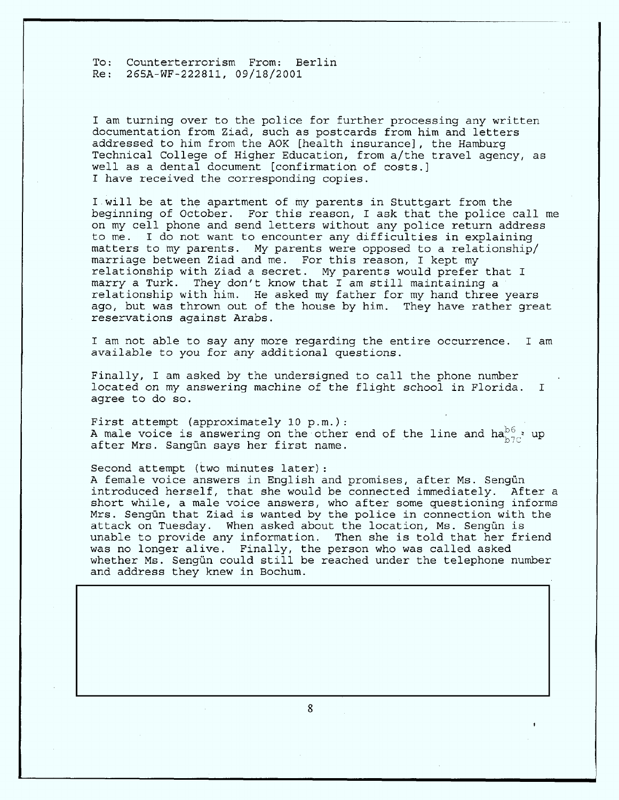I am turning over to the police for further processing any written documentation from Ziad, such as postcards from him and **letters** addressed to him from the AOK [health insurance], the Hamburg Technical College of Higher Education, from a/the travel agency, as well as **a** dental document [confirmation of costs.] I have received the corresponding copies.

I will be at the apartment of my parents in Stuttgart from the beginning of October. For this reason, I ask that the police call me on my **cell** phone and send **letters** without any police return address to me. I do not want to encounter any difficulties in explaining matters to my parents. My parents were opposed to a relationship/ marriage between Ziad and me. For this reason, I kept my relationship with Ziad a secret. My parents would prefer that I marry a Turk. They don't know **that** I am **still** maintaining **a** relationship with him. He asked my father for my hand three years ago, but was thrown out of the house by him. They have rather great reservations against Arabs.

I am not **able** to say any more regarding the entire occurrence. I am available to you for any additional questions.

Finally, I am asked by the undersigned to **call** the phone number located on my answering machine of the flight school in Florida. I **agree** to do so.

First attempt (approximately 10  $p.m.$ ): A male voice is answering on the other end of the line and  $ha_{b,7c}^{b6}$ , up after Mrs. Sangun **says** her first name. '

Second attempt (two minutes later): A female voice answers in English and promises, after Ms. Sengün introduced herself, that she would be connected immediately. After a short while, **a** male **voice** answers, who **after** some questioning informs Mrs. Sengun **that** Ziad is wanted by the police in connection with the attack on Tuesday. When asked about the location, Ms. Sengün is unable to provide any information. Then she is told that her friend was no longer alive. Finally, the person who was called aske whether Ms. Sengün could still be reached under the telephone numbe and address they knew in Bochum.

8

 $\overline{\phantom{a}}$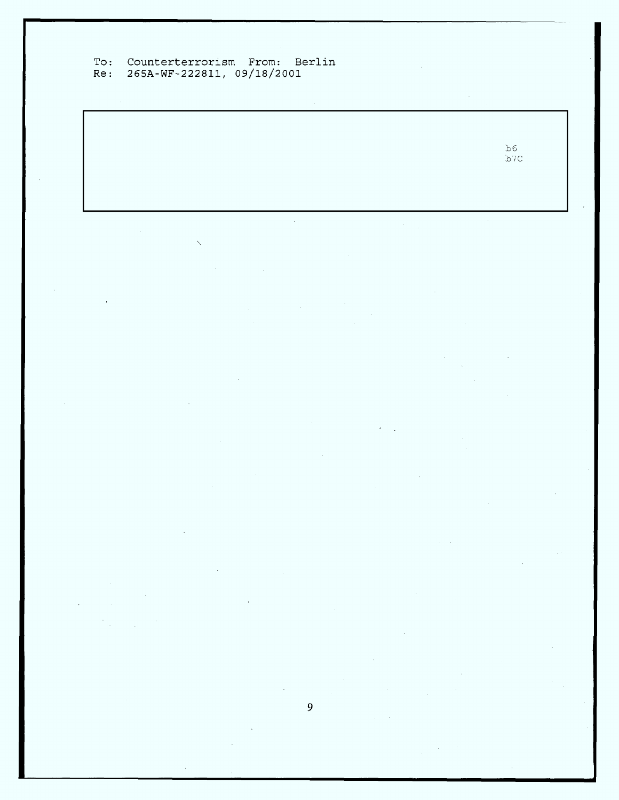# Counterterrorism From: Ber 265A-WF-222811, 09/1

 $b6$  $7($ 

l.

 $\overline{9}$